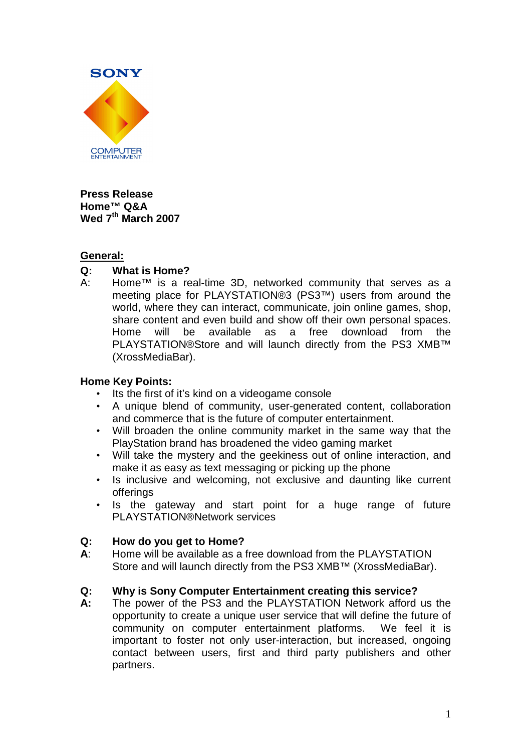

**Press Release Home™ Q&A Wed 7th March 2007** 

## **General:**

# **Q: What is Home?**

A: Home™ is a real-time 3D, networked community that serves as a meeting place for PLAYSTATION®3 (PS3™) users from around the world, where they can interact, communicate, join online games, shop, share content and even build and show off their own personal spaces. Home will be available as a free download from the PLAYSTATION®Store and will launch directly from the PS3 XMB™ (XrossMediaBar).

### **Home Key Points:**

- Its the first of it's kind on a videogame console
- A unique blend of community, user-generated content, collaboration and commerce that is the future of computer entertainment.
- Will broaden the online community market in the same way that the PlayStation brand has broadened the video gaming market
- Will take the mystery and the geekiness out of online interaction, and make it as easy as text messaging or picking up the phone
- Is inclusive and welcoming, not exclusive and daunting like current offerings
- Is the gateway and start point for a huge range of future PLAYSTATION®Network services

### **Q: How do you get to Home?**

**A**: Home will be available as a free download from the PLAYSTATION Store and will launch directly from the PS3 XMB™ (XrossMediaBar).

### **Q: Why is Sony Computer Entertainment creating this service?**

**A:** The power of the PS3 and the PLAYSTATION Network afford us the opportunity to create a unique user service that will define the future of community on computer entertainment platforms. We feel it is important to foster not only user-interaction, but increased, ongoing contact between users, first and third party publishers and other partners.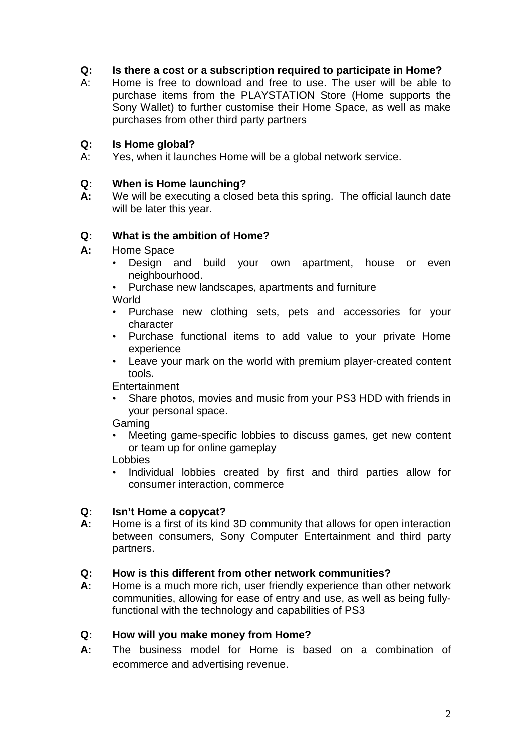# **Q: Is there a cost or a subscription required to participate in Home?**

A: Home is free to download and free to use. The user will be able to purchase items from the PLAYSTATION Store (Home supports the Sony Wallet) to further customise their Home Space, as well as make purchases from other third party partners

### **Q: Is Home global?**

A: Yes, when it launches Home will be a global network service.

### **Q: When is Home launching?**

**A:** We will be executing a closed beta this spring. The official launch date will be later this year.

### **Q: What is the ambition of Home?**

- **A:** Home Space
	- Design and build your own apartment, house or even neighbourhood.
	- Purchase new landscapes, apartments and furniture World

- Purchase new clothing sets, pets and accessories for your character
- Purchase functional items to add value to your private Home experience
- Leave your mark on the world with premium player-created content tools.

**Entertainment** 

• Share photos, movies and music from your PS3 HDD with friends in your personal space.

Gaming

Meeting game-specific lobbies to discuss games, get new content or team up for online gameplay

Lobbies

• Individual lobbies created by first and third parties allow for consumer interaction, commerce

### **Q: Isn't Home a copycat?**

**A:** Home is a first of its kind 3D community that allows for open interaction between consumers, Sony Computer Entertainment and third party partners.

### **Q: How is this different from other network communities?**

**A:** Home is a much more rich, user friendly experience than other network communities, allowing for ease of entry and use, as well as being fullyfunctional with the technology and capabilities of PS3

### **Q: How will you make money from Home?**

**A:** The business model for Home is based on a combination of ecommerce and advertising revenue.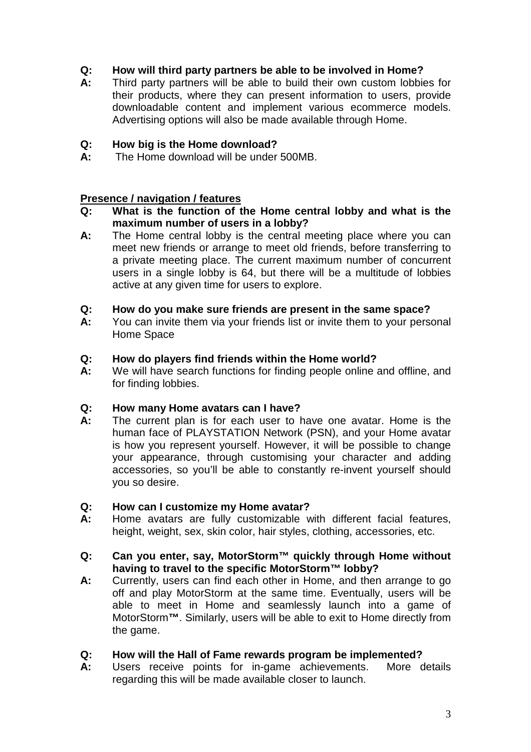# **Q: How will third party partners be able to be involved in Home?**

**A:** Third party partners will be able to build their own custom lobbies for their products, where they can present information to users, provide downloadable content and implement various ecommerce models. Advertising options will also be made available through Home.

## **Q: How big is the Home download?**

**A:** The Home download will be under 500MB.

## **Presence / navigation / features**

- **Q: What is the function of the Home central lobby and what is the maximum number of users in a lobby?**
- **A:** The Home central lobby is the central meeting place where you can meet new friends or arrange to meet old friends, before transferring to a private meeting place. The current maximum number of concurrent users in a single lobby is 64, but there will be a multitude of lobbies active at any given time for users to explore.

## **Q: How do you make sure friends are present in the same space?**

**A:** You can invite them via your friends list or invite them to your personal Home Space

## **Q: How do players find friends within the Home world?**

**A:** We will have search functions for finding people online and offline, and for finding lobbies.

### **Q: How many Home avatars can I have?**

**A:** The current plan is for each user to have one avatar. Home is the human face of PLAYSTATION Network (PSN), and your Home avatar is how you represent yourself. However, it will be possible to change your appearance, through customising your character and adding accessories, so you'll be able to constantly re-invent yourself should you so desire.

### **Q: How can I customize my Home avatar?**

**A:** Home avatars are fully customizable with different facial features, height, weight, sex, skin color, hair styles, clothing, accessories, etc.

### **Q: Can you enter, say, MotorStorm™ quickly through Home without having to travel to the specific MotorStorm™ lobby?**

**A:** Currently, users can find each other in Home, and then arrange to go off and play MotorStorm at the same time. Eventually, users will be able to meet in Home and seamlessly launch into a game of MotorStorm**™**. Similarly, users will be able to exit to Home directly from the game.

# **Q: How will the Hall of Fame rewards program be implemented?**

**A:** Users receive points for in-game achievements. More details regarding this will be made available closer to launch.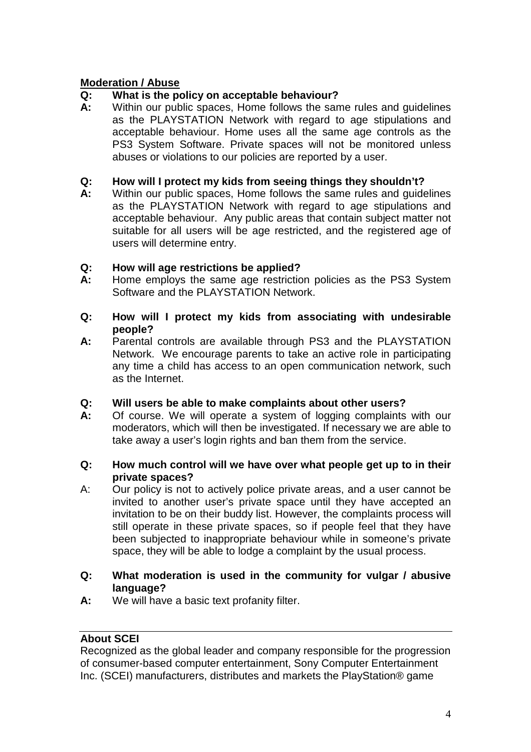# **Moderation / Abuse**

## **Q: What is the policy on acceptable behaviour?**

**A:** Within our public spaces, Home follows the same rules and guidelines as the PLAYSTATION Network with regard to age stipulations and acceptable behaviour. Home uses all the same age controls as the PS3 System Software. Private spaces will not be monitored unless abuses or violations to our policies are reported by a user.

### **Q: How will I protect my kids from seeing things they shouldn't?**

**A:** Within our public spaces, Home follows the same rules and guidelines as the PLAYSTATION Network with regard to age stipulations and acceptable behaviour. Any public areas that contain subject matter not suitable for all users will be age restricted, and the registered age of users will determine entry.

## **Q: How will age restrictions be applied?**

- **A:** Home employs the same age restriction policies as the PS3 System Software and the PLAYSTATION Network.
- **Q: How will I protect my kids from associating with undesirable people?**
- **A:** Parental controls are available through PS3 and the PLAYSTATION Network. We encourage parents to take an active role in participating any time a child has access to an open communication network, such as the Internet.
- **Q: Will users be able to make complaints about other users?**
- **A:** Of course. We will operate a system of logging complaints with our moderators, which will then be investigated. If necessary we are able to take away a user's login rights and ban them from the service.

### **Q: How much control will we have over what people get up to in their private spaces?**

- A: Our policy is not to actively police private areas, and a user cannot be invited to another user's private space until they have accepted an invitation to be on their buddy list. However, the complaints process will still operate in these private spaces, so if people feel that they have been subjected to inappropriate behaviour while in someone's private space, they will be able to lodge a complaint by the usual process.
- **Q: What moderation is used in the community for vulgar / abusive language?**
- **A:** We will have a basic text profanity filter.

# **About SCEI**

Recognized as the global leader and company responsible for the progression of consumer-based computer entertainment, Sony Computer Entertainment Inc. (SCEI) manufacturers, distributes and markets the PlayStation® game